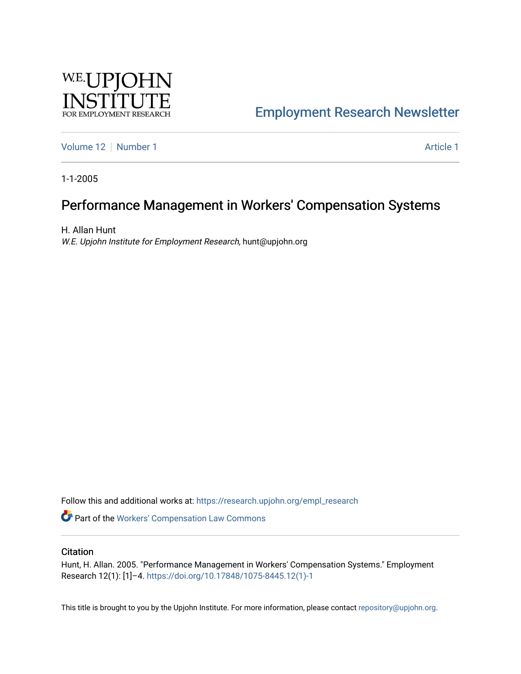

## [Employment Research Newsletter](https://research.upjohn.org/empl_research)

[Volume 12](https://research.upjohn.org/empl_research/vol12) [Number 1](https://research.upjohn.org/empl_research/vol12/iss1) Article 1

1-1-2005

## Performance Management in Workers' Compensation Systems

H. Allan Hunt W.E. Upjohn Institute for Employment Research, hunt@upjohn.org

Follow this and additional works at: [https://research.upjohn.org/empl\\_research](https://research.upjohn.org/empl_research?utm_source=research.upjohn.org%2Fempl_research%2Fvol12%2Fiss1%2F1&utm_medium=PDF&utm_campaign=PDFCoverPages)

Part of the [Workers' Compensation Law Commons](http://network.bepress.com/hgg/discipline/889?utm_source=research.upjohn.org%2Fempl_research%2Fvol12%2Fiss1%2F1&utm_medium=PDF&utm_campaign=PDFCoverPages)

#### **Citation**

Hunt, H. Allan. 2005. "Performance Management in Workers' Compensation Systems." Employment Research 12(1): [1]–4. [https://doi.org/10.17848/1075-8445.12\(1\)-1](https://doi.org/10.17848/1075-8445.12(1)-1) 

This title is brought to you by the Upjohn Institute. For more information, please contact [repository@upjohn.org](mailto:repository@upjohn.org).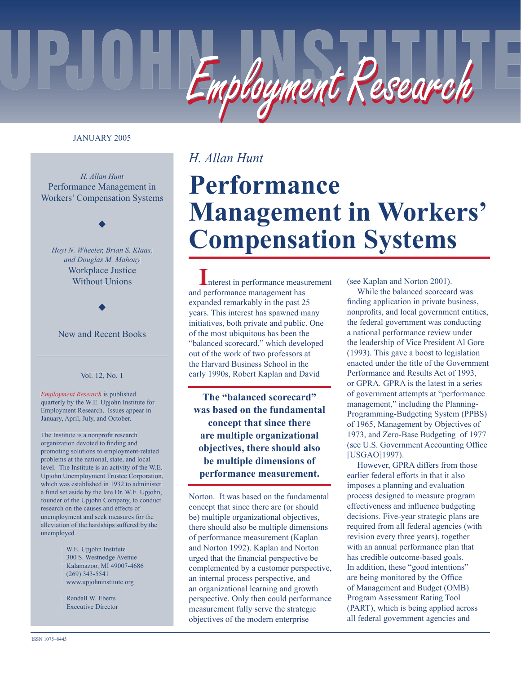

#### JANUARY 2005

*H. Allan Hunt* Performance Management in Workers' Compensation Systems

◆

*Hoyt N. Wheeler, Brian S. Klaas, and Douglas M. Mahony* Workplace Justice Without Unions

New and Recent Books

◆

#### Vol. 12, No. 1

*Employment Research* is published quarterly by the W.E. Upjohn Institute for Employment Research. Issues appear in January, April, July, and October.

The Institute is a nonprofit research organization devoted to finding and promoting solutions to employment-related problems at the national, state, and local level. The Institute is an activity of the W.E. Upjohn Unemployment Trustee Corporation, which was established in 1932 to administer a fund set aside by the late Dr. W.E. Upjohn, founder of the Upjohn Company, to conduct research on the causes and effects of unemployment and seek measures for the alleviation of the hardships suffered by the unemployed.

> W.E. Upjohn Institute 300 S. Westnedge Avenue Kalamazoo, MI 49007-4686 (269) 343-5541 www.upjohninstitute.org

 Randall W. Eberts Executive Director

### *H. Allan Hunt*

# **Performance Management in Workers' Compensation Systems**

**I**nterest in performance measurement and performance management has expanded remarkably in the past 25 years. This interest has spawned many initiatives, both private and public. One of the most ubiquitous has been the "balanced scorecard," which developed out of the work of two professors at the Harvard Business School in the early 1990s, Robert Kaplan and David

**The "balanced scorecard" was based on the fundamental concept that since there are multiple organizational objectives, there should also be multiple dimensions of performance measurement.**

Norton. It was based on the fundamental concept that since there are (or should be) multiple organizational objectives, there should also be multiple dimensions of performance measurement (Kaplan and Norton 1992). Kaplan and Norton urged that the financial perspective be complemented by a customer perspective, an internal process perspective, and an organizational learning and growth perspective. Only then could performance measurement fully serve the strategic objectives of the modern enterprise

(see Kaplan and Norton 2001).

While the balanced scorecard was finding application in private business, nonprofits, and local government entities, the federal government was conducting a national performance review under the leadership of Vice President Al Gore (1993). This gave a boost to legislation enacted under the title of the Government Performance and Results Act of 1993, or GPRA*.* GPRA is the latest in a series of government attempts at "performance management," including the Planning-Programming-Budgeting System (PPBS) of 1965, Management by Objectives of 1973, and Zero-Base Budgeting of 1977 (see U.S. Government Accounting Office) [USGAO]1997).

However, GPRA differs from those earlier federal efforts in that it also imposes a planning and evaluation process designed to measure program effectiveness and influence budgeting decisions. Five-year strategic plans are required from all federal agencies (with revision every three years), together with an annual performance plan that has credible outcome-based goals. In addition, these "good intentions" are being monitored by the Office of Management and Budget (OMB) Program Assessment Rating Tool (PART), which is being applied across all federal government agencies and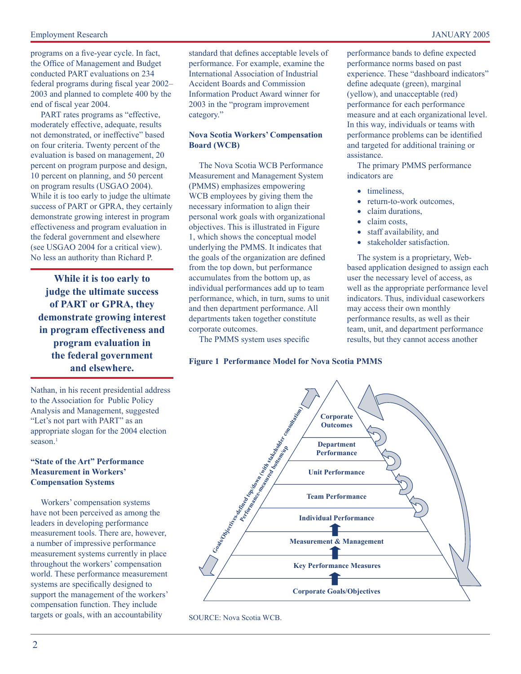programs on a five-year cycle. In fact, the Office of Management and Budget conducted PART evaluations on 234 federal programs during fiscal year 2002– 2003 and planned to complete 400 by the end of fiscal year 2004.

PART rates programs as "effective, moderately effective, adequate, results not demonstrated, or ineffective" based on four criteria. Twenty percent of the evaluation is based on management, 20 percent on program purpose and design, 10 percent on planning, and 50 percent on program results (USGAO 2004). While it is too early to judge the ultimate success of PART or GPRA, they certainly demonstrate growing interest in program effectiveness and program evaluation in the federal government and elsewhere (see USGAO 2004 for a critical view). No less an authority than Richard P.

**While it is too early to judge the ultimate success of PART or GPRA, they demonstrate growing interest in program effectiveness and program evaluation in the federal government and elsewhere.**

Nathan, in his recent presidential address to the Association for Public Policy Analysis and Management, suggested "Let's not part with PART" as an appropriate slogan for the 2004 election season.<sup>1</sup>

#### **"State of the Art" Performance Measurement in Workers' Compensation Systems**

Workers' compensation systems have not been perceived as among the leaders in developing performance measurement tools. There are, however, a number of impressive performance measurement systems currently in place throughout the workers' compensation world. These performance measurement systems are specifically designed to support the management of the workers' compensation function. They include targets or goals, with an accountability

standard that defines acceptable levels of performance. For example, examine the International Association of Industrial Accident Boards and Commission Information Product Award winner for 2003 in the "program improvement category."

#### **Nova Scotia Workers' Compensation Board (WCB)**

The Nova Scotia WCB Performance Measurement and Management System (PMMS) emphasizes empowering WCB employees by giving them the necessary information to align their personal work goals with organizational objectives. This is illustrated in Figure 1, which shows the conceptual model underlying the PMMS. It indicates that the goals of the organization are defined from the top down, but performance accumulates from the bottom up, as individual performances add up to team performance, which, in turn, sums to unit and then department performance. All departments taken together constitute corporate outcomes.

The PMMS system uses specific

**Figure 1 Performance Model for Nova Scotia PMMS**

performance bands to define expected performance norms based on past experience. These "dashboard indicators" define adequate (green), marginal (yellow), and unacceptable (red) performance for each performance measure and at each organizational level. In this way, individuals or teams with performance problems can be identified and targeted for additional training or assistance.

The primary PMMS performance indicators are

- timeliness.
- return-to-work outcomes,
- claim durations.
- claim costs.
- staff availability, and
- stakeholder satisfaction.

The system is a proprietary, Webbased application designed to assign each user the necessary level of access, as well as the appropriate performance level indicators. Thus, individual caseworkers may access their own monthly performance results, as well as their team, unit, and department performance results, but they cannot access another



SOURCE: Nova Scotia WCB.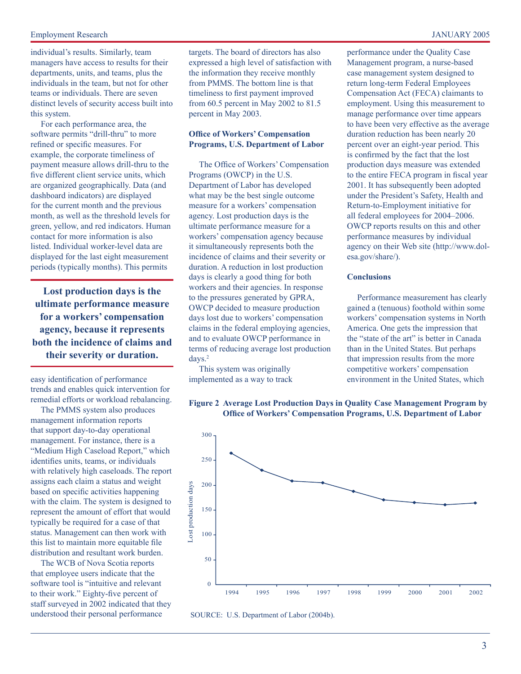#### Employment Research JANUARY 2005

individual's results. Similarly, team managers have access to results for their departments, units, and teams, plus the individuals in the team, but not for other teams or individuals. There are seven distinct levels of security access built into this system.

For each performance area, the software permits "drill-thru" to more refined or specific measures. For example, the corporate timeliness of payment measure allows drill-thru to the five different client service units, which are organized geographically. Data (and dashboard indicators) are displayed for the current month and the previous month, as well as the threshold levels for green, yellow, and red indicators. Human contact for more information is also listed. Individual worker-level data are displayed for the last eight measurement periods (typically months). This permits

**Lost production days is the ultimate performance measure for a workers' compensation agency, because it represents both the incidence of claims and their severity or duration.**

easy identification of performance trends and enables quick intervention for remedial efforts or workload rebalancing.

The PMMS system also produces management information reports that support day-to-day operational management. For instance, there is a "Medium High Caseload Report," which identifies units, teams, or individuals with relatively high caseloads. The report assigns each claim a status and weight based on specific activities happening with the claim. The system is designed to represent the amount of effort that would typically be required for a case of that status. Management can then work with this list to maintain more equitable file distribution and resultant work burden.

The WCB of Nova Scotia reports that employee users indicate that the software tool is "intuitive and relevant to their work." Eighty-five percent of staff surveyed in 2002 indicated that they understood their personal performance

targets. The board of directors has also expressed a high level of satisfaction with the information they receive monthly from PMMS. The bottom line is that timeliness to first payment improved from 60.5 percent in May 2002 to 81.5 percent in May 2003.

#### **Office of Workers' Compensation Programs, U.S. Department of Labor**

The Office of Workers' Compensation Programs (OWCP) in the U.S. Department of Labor has developed what may be the best single outcome measure for a workers' compensation agency. Lost production days is the ultimate performance measure for a workers' compensation agency because it simultaneously represents both the incidence of claims and their severity or duration. A reduction in lost production days is clearly a good thing for both workers and their agencies. In response to the pressures generated by GPRA, OWCP decided to measure production days lost due to workers' compensation claims in the federal employing agencies, and to evaluate OWCP performance in terms of reducing average lost production days.2

This system was originally implemented as a way to track performance under the Quality Case Management program, a nurse-based case management system designed to return long-term Federal Employees Compensation Act (FECA) claimants to employment. Using this measurement to manage performance over time appears to have been very effective as the average duration reduction has been nearly 20 percent over an eight-year period. This is confirmed by the fact that the lost production days measure was extended to the entire FECA program in fiscal year 2001. It has subsequently been adopted under the President's Safety, Health and Return-to-Employment initiative for all federal employees for 2004–2006. OWCP reports results on this and other performance measures by individual agency on their Web site (http://www.dolesa.gov/share/).

#### **Conclusions**

Performance measurement has clearly gained a (tenuous) foothold within some workers' compensation systems in North America. One gets the impression that the "state of the art" is better in Canada than in the United States. But perhaps that impression results from the more competitive workers' compensation environment in the United States, which



## **Office of Workers' Compensation Programs, U.S. Department of Labor**

SOURCE: U.S. Department of Labor (2004b).